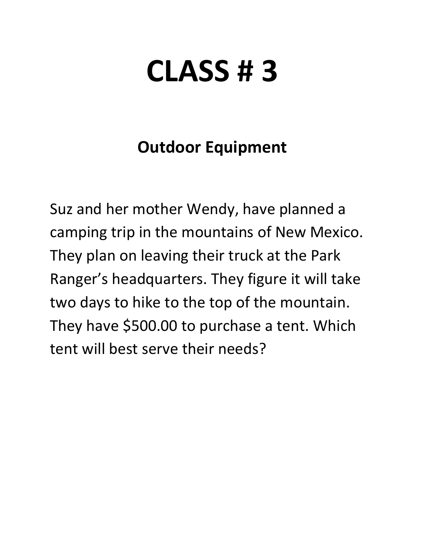# **CLASS # 3**

# **Outdoor Equipment**

Suz and her mother Wendy, have planned a camping trip in the mountains of New Mexico. They plan on leaving their truck at the Park Ranger's headquarters. They figure it will take two days to hike to the top of the mountain. They have \$500.00 to purchase a tent. Which tent will best serve their needs?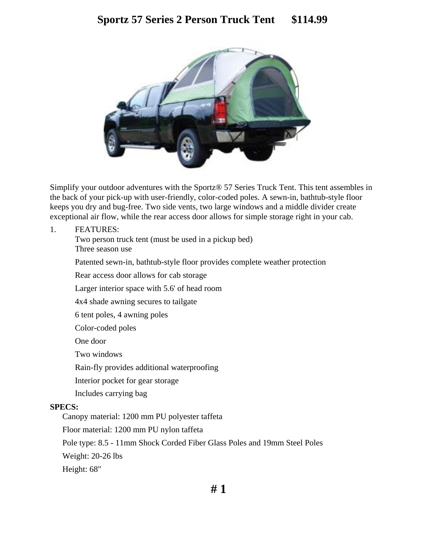

Simplify your outdoor adventures with the Sportz® 57 Series Truck Tent. This tent assembles in the back of your pick-up with user-friendly, color-coded poles. A sewn-in, bathtub-style floor keeps you dry and bug-free. Two side vents, two large windows and a middle divider create exceptional air flow, while the rear access door allows for simple storage right in your cab.

1. FEATURES:

Two person truck tent (must be used in a pickup bed) Three season use

Patented sewn-in, bathtub-style floor provides complete weather protection

Rear access door allows for cab storage

Larger interior space with 5.6' of head room

4x4 shade awning secures to tailgate

6 tent poles, 4 awning poles

Color-coded poles

One door

Two windows

Rain-fly provides additional waterproofing

Interior pocket for gear storage

Includes carrying bag

#### **SPECS:**

Canopy material: 1200 mm PU polyester taffeta

Floor material: 1200 mm PU nylon taffeta

Pole type: 8.5 - 11mm Shock Corded Fiber Glass Poles and 19mm Steel Poles

Weight: 20-26 lbs

Height: 68"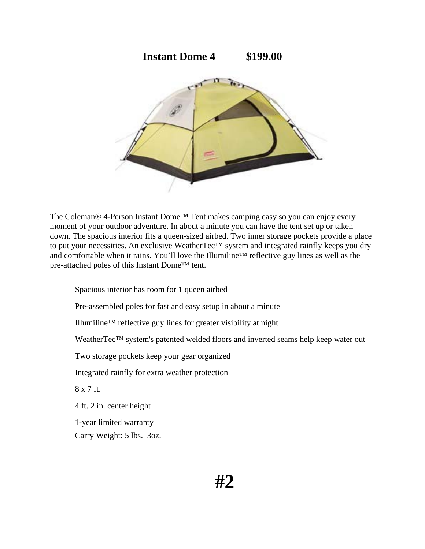

The Coleman® 4-Person Instant Dome<sup>™</sup> Tent makes camping easy so you can enjoy every moment of your outdoor adventure. In about a minute you can have the tent set up or taken down. The spacious interior fits a queen-sized airbed. Two inner storage pockets provide a place to put your necessities. An exclusive WeatherTec™ system and integrated rainfly keeps you dry and comfortable when it rains. You'll love the Illumiline™ reflective guy lines as well as the pre-attached poles of this Instant Dome™ tent.

Spacious interior has room for 1 queen airbed Pre-assembled poles for fast and easy setup in about a minute Illumiline™ reflective guy lines for greater visibility at night WeatherTec™ system's patented welded floors and inverted seams help keep water out Two storage pockets keep your gear organized Integrated rainfly for extra weather protection 8 x 7 ft. 4 ft. 2 in. center height 1-year limited warranty Carry Weight: 5 lbs. 3oz.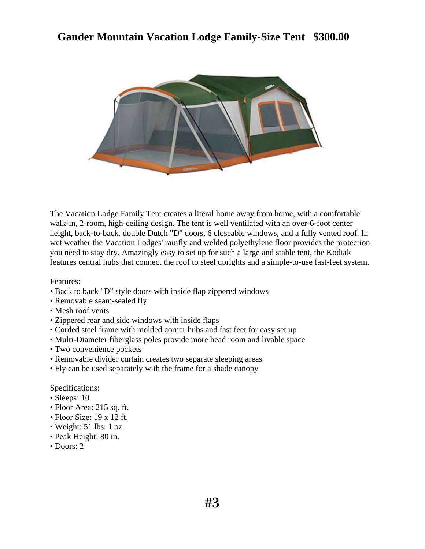## **Gander Mountain Vacation Lodge Family-Size Tent \$300.00**



The Vacation Lodge Family Tent creates a literal home away from home, with a comfortable walk-in, 2-room, high-ceiling design. The tent is well ventilated with an over-6-foot center height, back-to-back, double Dutch "D" doors, 6 closeable windows, and a fully vented roof. In wet weather the Vacation Lodges' rainfly and welded polyethylene floor provides the protection you need to stay dry. Amazingly easy to set up for such a large and stable tent, the Kodiak features central hubs that connect the roof to steel uprights and a simple-to-use fast-feet system.

Features:

- Back to back "D" style doors with inside flap zippered windows
- Removable seam-sealed fly
- Mesh roof vents
- Zippered rear and side windows with inside flaps
- Corded steel frame with molded corner hubs and fast feet for easy set up
- Multi-Diameter fiberglass poles provide more head room and livable space
- Two convenience pockets
- Removable divider curtain creates two separate sleeping areas
- Fly can be used separately with the frame for a shade canopy

Specifications:

- Sleeps: 10
- Floor Area: 215 sq. ft.
- Floor Size: 19 x 12 ft.
- Weight: 51 lbs. 1 oz.
- Peak Height: 80 in.
- Doors: 2